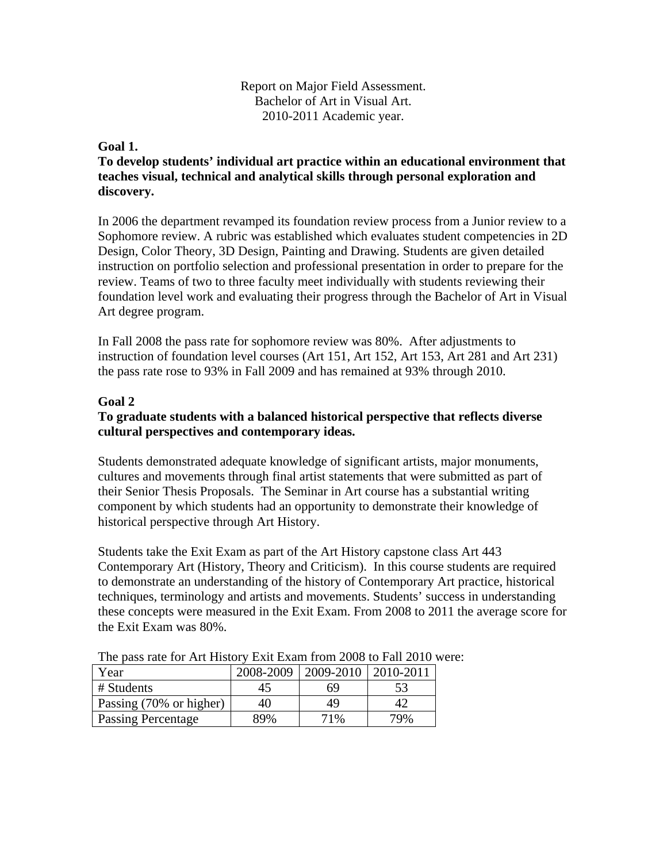## Report on Major Field Assessment. Bachelor of Art in Visual Art. 2010-2011 Academic year.

#### **Goal 1.**

# **To develop students' individual art practice within an educational environment that teaches visual, technical and analytical skills through personal exploration and discovery.**

In 2006 the department revamped its foundation review process from a Junior review to a Sophomore review. A rubric was established which evaluates student competencies in 2D Design, Color Theory, 3D Design, Painting and Drawing. Students are given detailed instruction on portfolio selection and professional presentation in order to prepare for the review. Teams of two to three faculty meet individually with students reviewing their foundation level work and evaluating their progress through the Bachelor of Art in Visual Art degree program.

In Fall 2008 the pass rate for sophomore review was 80%. After adjustments to instruction of foundation level courses (Art 151, Art 152, Art 153, Art 281 and Art 231) the pass rate rose to 93% in Fall 2009 and has remained at 93% through 2010.

## **Goal 2**

## **To graduate students with a balanced historical perspective that reflects diverse cultural perspectives and contemporary ideas.**

Students demonstrated adequate knowledge of significant artists, major monuments, cultures and movements through final artist statements that were submitted as part of their Senior Thesis Proposals. The Seminar in Art course has a substantial writing component by which students had an opportunity to demonstrate their knowledge of historical perspective through Art History.

Students take the Exit Exam as part of the Art History capstone class Art 443 Contemporary Art (History, Theory and Criticism). In this course students are required to demonstrate an understanding of the history of Contemporary Art practice, historical techniques, terminology and artists and movements. Students' success in understanding these concepts were measured in the Exit Exam. From 2008 to 2011 the average score for the Exit Exam was 80%.

| Year                      | 2008-2009 | 2009-2010   2010-2011 |     |
|---------------------------|-----------|-----------------------|-----|
| # Students                | 45        | 69                    |     |
| Passing (70% or higher)   | 40        | 49                    |     |
| <b>Passing Percentage</b> | 89%       | 71%                   | 79% |

The pass rate for Art History Exit Exam from 2008 to Fall 2010 were: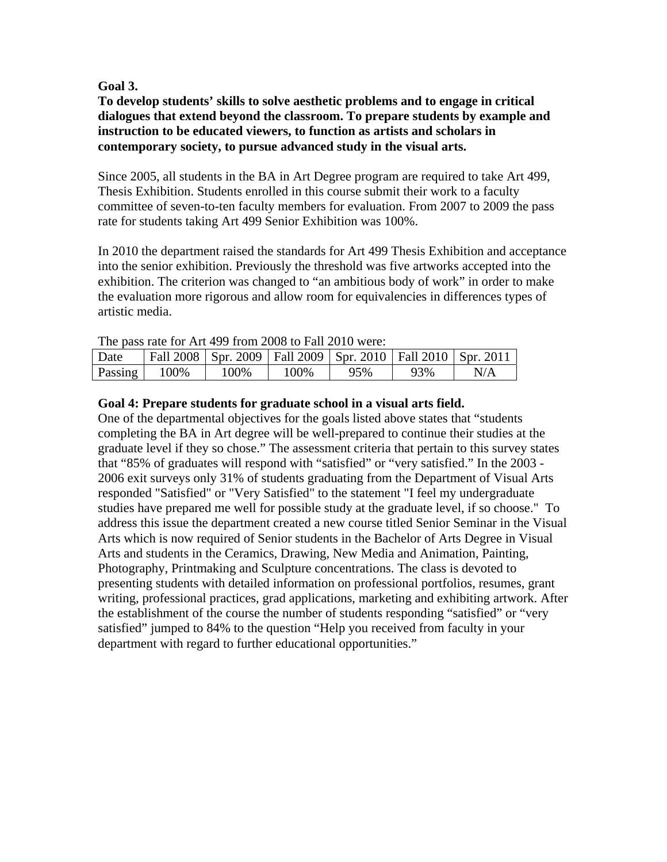## **Goal 3.**

## **To develop students' skills to solve aesthetic problems and to engage in critical dialogues that extend beyond the classroom. To prepare students by example and instruction to be educated viewers, to function as artists and scholars in contemporary society, to pursue advanced study in the visual arts.**

Since 2005, all students in the BA in Art Degree program are required to take Art 499, Thesis Exhibition. Students enrolled in this course submit their work to a faculty committee of seven-to-ten faculty members for evaluation. From 2007 to 2009 the pass rate for students taking Art 499 Senior Exhibition was 100%.

In 2010 the department raised the standards for Art 499 Thesis Exhibition and acceptance into the senior exhibition. Previously the threshold was five artworks accepted into the exhibition. The criterion was changed to "an ambitious body of work" in order to make the evaluation more rigorous and allow room for equivalencies in differences types of artistic media.

| THE DASS TALE TOT ATT 499 HOIL 2008 TO FAIL 2010 WELF. |      |                                                                       |      |     |     |     |
|--------------------------------------------------------|------|-----------------------------------------------------------------------|------|-----|-----|-----|
| Date                                                   |      | Fall 2008   Spr. 2009   Fall 2009   Spr. 2010   Fall 2010   Spr. 2011 |      |     |     |     |
| Passing                                                | 100% | 100%                                                                  | 100% | 95% | 93% | N/A |

# The pass rate for Art 499 from 2008 to Fall 2010 were:

## **Goal 4: Prepare students for graduate school in a visual arts field.**

One of the departmental objectives for the goals listed above states that "students completing the BA in Art degree will be well-prepared to continue their studies at the graduate level if they so chose." The assessment criteria that pertain to this survey states that "85% of graduates will respond with "satisfied" or "very satisfied." In the 2003 - 2006 exit surveys only 31% of students graduating from the Department of Visual Arts responded "Satisfied" or "Very Satisfied" to the statement "I feel my undergraduate studies have prepared me well for possible study at the graduate level, if so choose." To address this issue the department created a new course titled Senior Seminar in the Visual Arts which is now required of Senior students in the Bachelor of Arts Degree in Visual Arts and students in the Ceramics, Drawing, New Media and Animation, Painting, Photography, Printmaking and Sculpture concentrations. The class is devoted to presenting students with detailed information on professional portfolios, resumes, grant writing, professional practices, grad applications, marketing and exhibiting artwork. After the establishment of the course the number of students responding "satisfied" or "very satisfied" jumped to 84% to the question "Help you received from faculty in your department with regard to further educational opportunities."